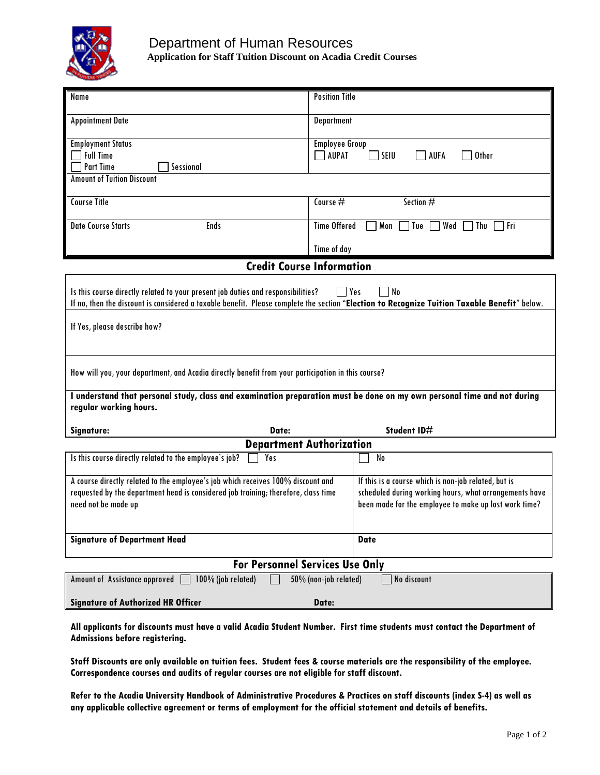

## Department of Human Resources **Application for Staff Tuition Discount on Acadia Credit Courses**

| Name                                                                                                                                                                                                                                            | <b>Position Title</b>                                                                                                                                                   |  |  |  |
|-------------------------------------------------------------------------------------------------------------------------------------------------------------------------------------------------------------------------------------------------|-------------------------------------------------------------------------------------------------------------------------------------------------------------------------|--|--|--|
| <b>Appointment Date</b>                                                                                                                                                                                                                         | Department                                                                                                                                                              |  |  |  |
| <b>Employment Status</b><br><b>Full Time</b><br><b>Part Time</b><br>Sessional<br><b>Amount of Tuition Discount</b>                                                                                                                              | <b>Employee Group</b><br><b>AUPAT</b><br>SEIU<br>AUFA<br><b>Other</b>                                                                                                   |  |  |  |
| <b>Course Title</b>                                                                                                                                                                                                                             |                                                                                                                                                                         |  |  |  |
|                                                                                                                                                                                                                                                 | Course $#$<br>Section #                                                                                                                                                 |  |  |  |
| <b>Date Course Starts</b><br>Ends                                                                                                                                                                                                               | <b>Time Offered</b><br>Mon<br>Wed<br>Tue<br>Thu<br>l Fri                                                                                                                |  |  |  |
|                                                                                                                                                                                                                                                 | Time of day                                                                                                                                                             |  |  |  |
| <b>Credit Course Information</b>                                                                                                                                                                                                                |                                                                                                                                                                         |  |  |  |
| No<br>Is this course directly related to your present job duties and responsibilities?<br>  Yes<br>If no, then the discount is considered a taxable benefit. Please complete the section "Election to Recognize Tuition Taxable Benefit" below. |                                                                                                                                                                         |  |  |  |
| If Yes, please describe how?                                                                                                                                                                                                                    |                                                                                                                                                                         |  |  |  |
| How will you, your department, and Acadia directly benefit from your participation in this course?                                                                                                                                              |                                                                                                                                                                         |  |  |  |
| I understand that personal study, class and examination preparation must be done on my own personal time and not during<br>regular working hours.                                                                                               |                                                                                                                                                                         |  |  |  |
| Date:<br>Signature:                                                                                                                                                                                                                             | Student ID#                                                                                                                                                             |  |  |  |
| <b>Department Authorization</b>                                                                                                                                                                                                                 |                                                                                                                                                                         |  |  |  |
| Is this course directly related to the employee's job?<br>Yes                                                                                                                                                                                   | No                                                                                                                                                                      |  |  |  |
| A course directly related to the employee's job which receives 100% discount and<br>requested by the department head is considered job training; therefore, class time<br>need not be made up                                                   | If this is a course which is non-job related, but is<br>scheduled during working hours, what arrangements have<br>been made for the employee to make up lost work time? |  |  |  |
| <b>Signature of Department Head</b>                                                                                                                                                                                                             | <b>Date</b>                                                                                                                                                             |  |  |  |
| <b>For Personnel Services Use Only</b>                                                                                                                                                                                                          |                                                                                                                                                                         |  |  |  |
| 100% (job related)<br>No discount<br>Amount of Assistance approved  <br>50% (non-job related)                                                                                                                                                   |                                                                                                                                                                         |  |  |  |
| <b>Signature of Authorized HR Officer</b><br>Date:                                                                                                                                                                                              |                                                                                                                                                                         |  |  |  |

**All applicants for discounts must have a valid Acadia Student Number. First time students must contact the Department of Admissions before registering.** 

**Staff Discounts are only available on tuition fees. Student fees & course materials are the responsibility of the employee. Correspondence courses and audits of regular courses are not eligible for staff discount.**

**Refer to the Acadia University Handbook of Administrative Procedures & Practices on staff discounts (index S-4) as well as any applicable collective agreement or terms of employment for the official statement and details of benefits.**